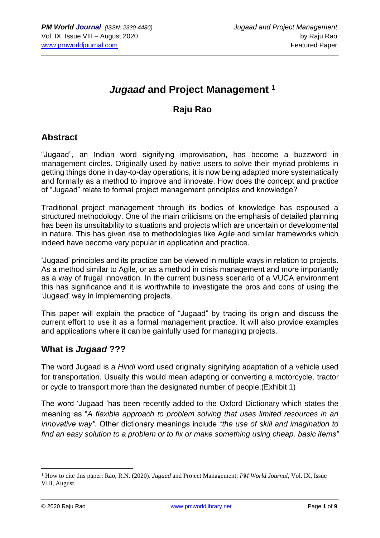# *Jugaad* **and Project Management <sup>1</sup>**

## **Raju Rao**

## **Abstract**

"Jugaad", an Indian word signifying improvisation, has become a buzzword in management circles. Originally used by native users to solve their myriad problems in getting things done in day-to-day operations, it is now being adapted more systematically and formally as a method to improve and innovate. How does the concept and practice of "Jugaad" relate to formal project management principles and knowledge?

Traditional project management through its bodies of knowledge has espoused a structured methodology. One of the main criticisms on the emphasis of detailed planning has been its unsuitability to situations and projects which are uncertain or developmental in nature. This has given rise to methodologies like Agile and similar frameworks which indeed have become very popular in application and practice.

'Jugaad' principles and its practice can be viewed in multiple ways in relation to projects. As a method similar to Agile, or as a method in crisis management and more importantly as a way of frugal innovation. In the current business scenario of a VUCA environment this has significance and it is worthwhile to investigate the pros and cons of using the 'Jugaad' way in implementing projects.

This paper will explain the practice of "Jugaad" by tracing its origin and discuss the current effort to use it as a formal management practice. It will also provide examples and applications where it can be gainfully used for managing projects.

### **What is** *Jugaad* **???**

The word Jugaad is a *Hindi* word used originally signifying adaptation of a vehicle used for transportation. Usually this would mean adapting or converting a motorcycle, tractor or cycle to transport more than the designated number of people.(Exhibit 1)

The word 'Jugaad 'has been recently added to the Oxford Dictionary which states the meaning as "*A flexible approach to problem solving that uses limited resources in an innovative way"*. Other dictionary meanings include "*the use of skill and imagination to find an easy solution to a problem or to fix or make something using cheap, basic items"*

<sup>1</sup> How to cite this paper: Rao, R.N. (2020). *Jugaad* and Project Management; *PM World Journal*, Vol. IX, Issue VIII, August.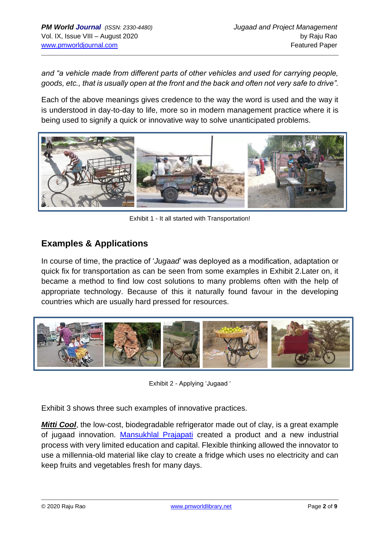*and "a vehicle made from different parts of other vehicles and used for carrying people, goods, etc., that is usually open at the front and the back and often not very safe to drive".*

Each of the above meanings gives credence to the way the word is used and the way it is understood in day-to-day to life, more so in modern management practice where it is being used to signify a quick or innovative way to solve unanticipated problems.



Exhibit 1 - It all started with Transportation!

## **Examples & Applications**

In course of time, the practice of '*Jugaad*' was deployed as a modification, adaptation or quick fix for transportation as can be seen from some examples in Exhibit 2.Later on, it became a method to find low cost solutions to many problems often with the help of appropriate technology. Because of this it naturally found favour in the developing countries which are usually hard pressed for resources.



Exhibit 2 - Applying 'Jugaad '

Exhibit 3 shows three such examples of innovative practices.

*Mitti Cool*, the low-cost, biodegradable refrigerator made out of clay, is a great example of jugaad innovation. [Mansukhlal Prajapati](https://yourstory.com/2015/04/manshuk-lal-prajapati-mitticool) created a product and a new industrial process with very limited education and capital. Flexible thinking allowed the innovator to use a millennia-old material like clay to create a fridge which uses no electricity and can keep fruits and vegetables fresh for many days.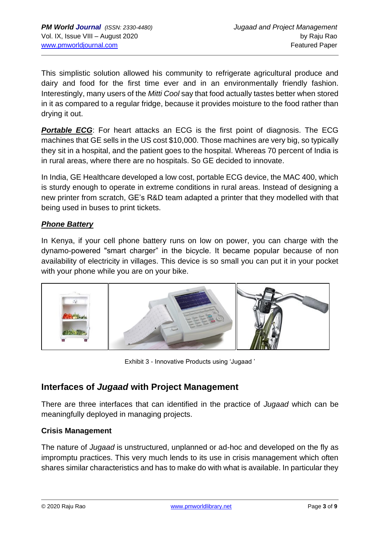This simplistic solution allowed his community to refrigerate agricultural produce and dairy and food for the first time ever and in an environmentally friendly fashion. Interestingly, many users of the *Mitti Cool* say that food actually tastes better when stored in it as compared to a regular fridge, because it provides moisture to the food rather than drying it out.

**Portable ECG**: For heart attacks an ECG is the first point of diagnosis. The ECG machines that GE sells in the US cost \$10,000. Those machines are very big, so typically they sit in a hospital, and the patient goes to the hospital. Whereas 70 percent of India is in rural areas, where there are no hospitals. So GE decided to innovate.

In India, GE Healthcare developed a low cost, portable ECG device, the MAC 400, which is sturdy enough to operate in extreme conditions in rural areas. Instead of designing a new printer from scratch, GE's R&D team adapted a printer that they modelled with that being used in buses to print tickets.

### *Phone Battery*

In Kenya, if your cell phone battery runs on low on power, you can charge with the dynamo-powered "smart charger" in the bicycle. It became popular because of non availability of electricity in villages. This device is so small you can put it in your pocket with your phone while you are on your bike.



Exhibit 3 - Innovative Products using 'Jugaad '

## **Interfaces of** *Jugaad* **with Project Management**

There are three interfaces that can identified in the practice of *Jugaad* which can be meaningfully deployed in managing projects.

### **Crisis Management**

The nature of *Jugaad* is unstructured, unplanned or ad-hoc and developed on the fly as impromptu practices. This very much lends to its use in crisis management which often shares similar characteristics and has to make do with what is available. In particular they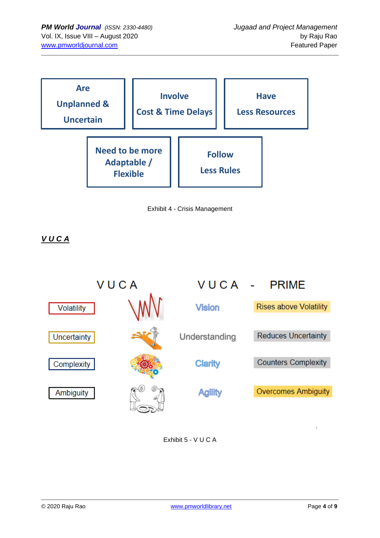



*V U C A*



Exhibit 5 - V U C A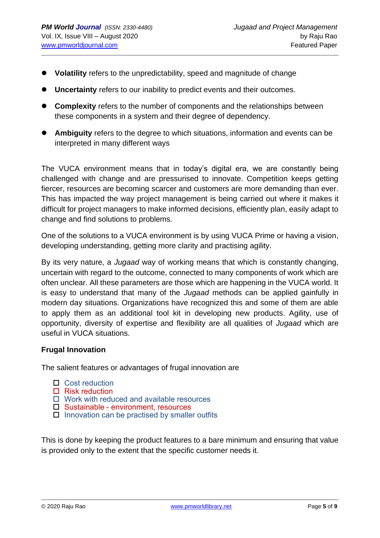- ⚫ **Volatility** refers to the unpredictability, speed and magnitude of change
- ⚫ **Uncertainty** refers to our inability to predict events and their outcomes.
- ⚫ **Complexity** refers to the number of components and the relationships between these components in a system and their degree of dependency.
- ⚫ **Ambiguity** refers to the degree to which situations, information and events can be interpreted in many different ways

The VUCA environment means that in today's digital era, we are constantly being challenged with change and are pressurised to innovate. Competition keeps getting fiercer, resources are becoming scarcer and customers are more demanding than ever. This has impacted the way project management is being carried out where it makes it difficult for project managers to make informed decisions, efficiently plan, easily adapt to change and find solutions to problems.

One of the solutions to a VUCA environment is by using VUCA Prime or having a vision, developing understanding, getting more clarity and practising agility.

By its very nature, a *Jugaad* way of working means that which is constantly changing, uncertain with regard to the outcome, connected to many components of work which are often unclear. All these parameters are those which are happening in the VUCA world. It is easy to understand that many of the *Jugaad* methods can be applied gainfully in modern day situations. Organizations have recognized this and some of them are able to apply them as an additional tool kit in developing new products. Agility, use of opportunity, diversity of expertise and flexibility are all qualities of *Jugaad* which are useful in VUCA situations.

### **Frugal Innovation**

The salient features or advantages of frugal innovation are

- □ Cost reduction
- $\Box$  Risk reduction
- $\Box$  Work with reduced and available resources
- □ Sustainable environment, resources
- $\Box$  Innovation can be practised by smaller outfits

This is done by keeping the product features to a bare minimum and ensuring that value is provided only to the extent that the specific customer needs it.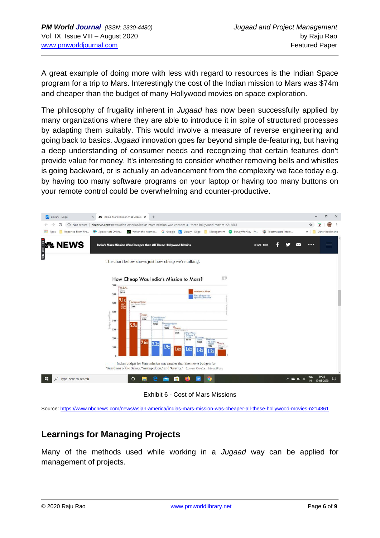A great example of doing more with less with regard to resources is the Indian Space program for a trip to Mars. Interestingly the cost of the Indian mission to Mars was \$74m and cheaper than the budget of many Hollywood movies on space exploration.

The philosophy of frugality inherent in *Jugaad* has now been successfully applied by many organizations where they are able to introduce it in spite of structured processes by adapting them suitably. This would involve a measure of reverse engineering and going back to basics. *Jugaad* innovation goes far beyond simple de-featuring, but having a deep understanding of consumer needs and recognizing that certain features don't provide value for money. It's interesting to consider whether removing bells and whistles is going backward, or is actually an advancement from the complexity we face today e.g. by having too many software programs on your laptop or having too many buttons on your remote control could be overwhelming and counter-productive.



Exhibit 6 - Cost of Mars Missions

Source: <https://www.nbcnews.com/news/asian-america/indias-mars-mission-was-cheaper-all-these-hollywood-movies-n214861>

## **Learnings for Managing Projects**

Many of the methods used while working in a *Jugaad* way can be applied for management of projects.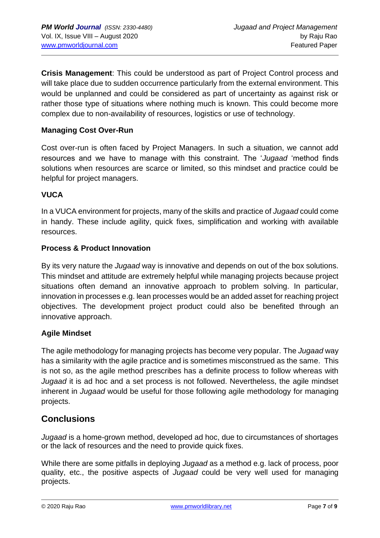**Crisis Management**: This could be understood as part of Project Control process and will take place due to sudden occurrence particularly from the external environment. This would be unplanned and could be considered as part of uncertainty as against risk or rather those type of situations where nothing much is known. This could become more complex due to non-availability of resources, logistics or use of technology.

### **Managing Cost Over-Run**

Cost over-run is often faced by Project Managers. In such a situation, we cannot add resources and we have to manage with this constraint. The '*Jugaad* 'method finds solutions when resources are scarce or limited, so this mindset and practice could be helpful for project managers.

### **VUCA**

In a VUCA environment for projects, many of the skills and practice of *Jugaad* could come in handy. These include agility, quick fixes, simplification and working with available resources.

### **Process & Product Innovation**

By its very nature the *Jugaad* way is innovative and depends on out of the box solutions. This mindset and attitude are extremely helpful while managing projects because project situations often demand an innovative approach to problem solving. In particular, innovation in processes e.g. lean processes would be an added asset for reaching project objectives. The development project product could also be benefited through an innovative approach.

### **Agile Mindset**

The agile methodology for managing projects has become very popular. The *Jugaad* way has a similarity with the agile practice and is sometimes misconstrued as the same. This is not so, as the agile method prescribes has a definite process to follow whereas with *Jugaad* it is ad hoc and a set process is not followed. Nevertheless, the agile mindset inherent in *Jugaad* would be useful for those following agile methodology for managing projects.

### **Conclusions**

*Jugaad* is a home-grown method, developed ad hoc, due to circumstances of shortages or the lack of resources and the need to provide quick fixes.

While there are some pitfalls in deploying *Jugaad* as a method e.g. lack of process, poor quality, etc., the positive aspects of *Jugaad* could be very well used for managing projects.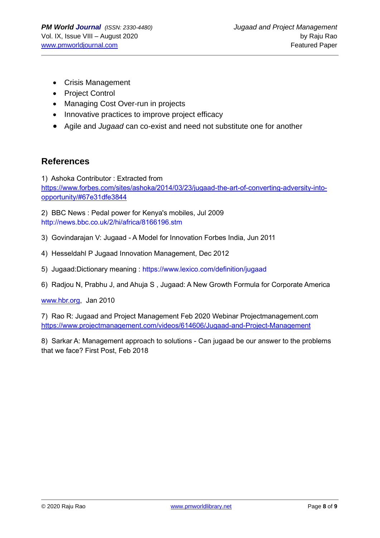- Crisis Management
- Project Control
- Managing Cost Over-run in projects
- Innovative practices to improve project efficacy
- Agile and *Jugaad* can co-exist and need not substitute one for another

### **References**

1) Ashoka Contributor : Extracted from [https://www.forbes.com/sites/ashoka/2014/03/23/jugaad-the-art-of-converting-adversity-into](https://www.forbes.com/sites/ashoka/2014/03/23/jugaad-the-art-of-converting-adversity-into-opportunity/#67e31dfe3844)[opportunity/#67e31dfe3844](https://www.forbes.com/sites/ashoka/2014/03/23/jugaad-the-art-of-converting-adversity-into-opportunity/#67e31dfe3844)

2) BBC News : Pedal power for Kenya's mobiles, Jul 2009 <http://news.bbc.co.uk/2/hi/africa/8166196.stm>

- 3) Govindarajan V: Jugaad A Model for Innovation Forbes India, Jun 2011
- 4) Hesseldahl P Jugaad Innovation Management, Dec 2012
- 5) Jugaad:Dictionary meaning :<https://www.lexico.com/definition/jugaad>
- 6) Radjou N, Prabhu J, and Ahuja S , Jugaad: A New Growth Formula for Corporate America

[www.hbr.org,](http://www.hbr.org/) Jan 2010

7) Rao R: Jugaad and Project Management Feb 2020 Webinar Projectmanagement.com <https://www.projectmanagement.com/videos/614606/Jugaad-and-Project-Management>

8) Sarkar A: Management approach to solutions - Can jugaad be our answer to the problems that we face? First Post, Feb 2018